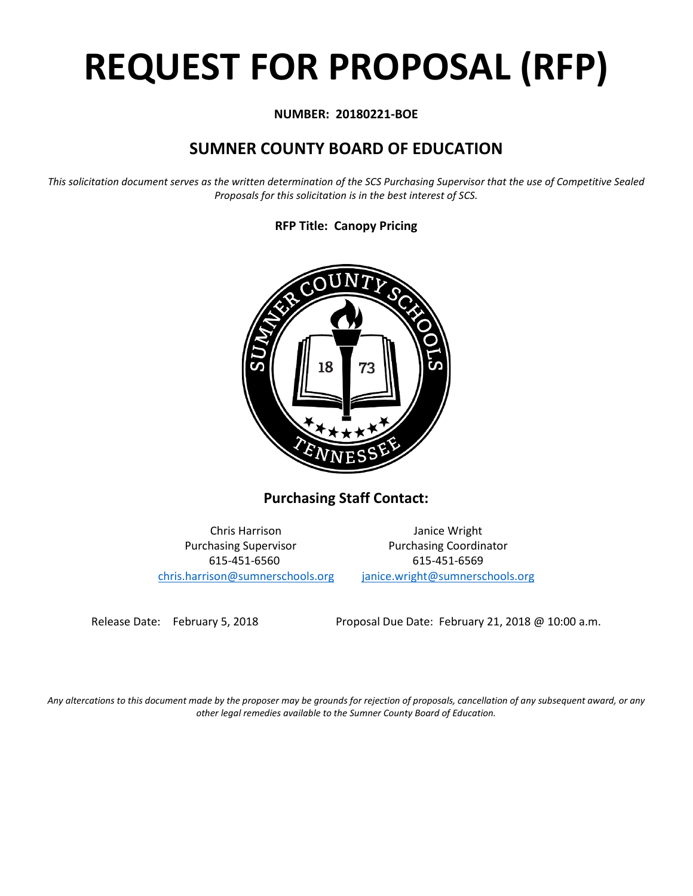# **REQUEST FOR PROPOSAL (RFP)**

# **NUMBER: 20180221-BOE**

# **SUMNER COUNTY BOARD OF EDUCATION**

*This solicitation document serves as the written determination of the SCS Purchasing Supervisor that the use of Competitive Sealed Proposals for this solicitation is in the best interest of SCS.*

# **RFP Title: Canopy Pricing**



**Purchasing Staff Contact:**

[chris.harrison@sumnerschools.org](mailto:chris.harrison@sumnerschools.org) [janice.wright@sumnerschools.org](mailto:janice.wright@sumnerschools.org)

Chris Harrison Janice Wright Purchasing Supervisor **Purchasing Coordinator** 615-451-6560 615-451-6569

Release Date: February 5, 2018 Proposal Due Date: February 21, 2018 @ 10:00 a.m.

*Any altercations to this document made by the proposer may be grounds for rejection of proposals, cancellation of any subsequent award, or any other legal remedies available to the Sumner County Board of Education.*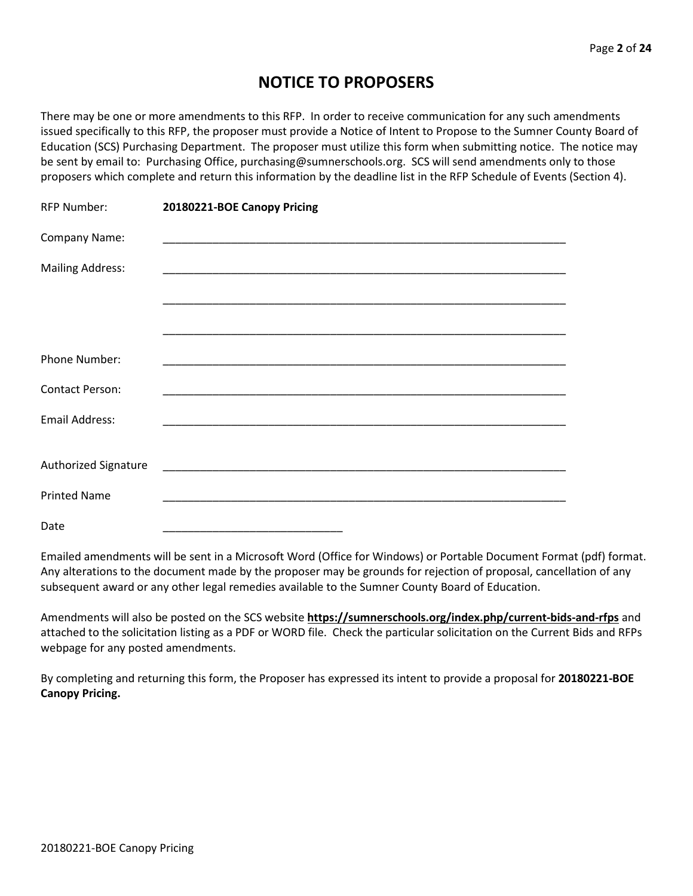# **NOTICE TO PROPOSERS**

There may be one or more amendments to this RFP. In order to receive communication for any such amendments issued specifically to this RFP, the proposer must provide a Notice of Intent to Propose to the Sumner County Board of Education (SCS) Purchasing Department. The proposer must utilize this form when submitting notice. The notice may be sent by email to: Purchasing Office, purchasing@sumnerschools.org. SCS will send amendments only to those proposers which complete and return this information by the deadline list in the RFP Schedule of Events (Section 4).

| <b>RFP Number:</b>          | 20180221-BOE Canopy Pricing                                                                                           |
|-----------------------------|-----------------------------------------------------------------------------------------------------------------------|
| Company Name:               |                                                                                                                       |
| <b>Mailing Address:</b>     | <u> 1989 - Johann John Stone, markin film yn y sydd y brenin y brenin y brenin y brenin y brenin y brenin y breni</u> |
|                             |                                                                                                                       |
|                             |                                                                                                                       |
| Phone Number:               |                                                                                                                       |
| <b>Contact Person:</b>      | <u> 1989 - Johann Stoff, deutscher Stoff, der Stoff, der Stoff, der Stoff, der Stoff, der Stoff, der Stoff, der S</u> |
| <b>Email Address:</b>       |                                                                                                                       |
|                             |                                                                                                                       |
| <b>Authorized Signature</b> |                                                                                                                       |
| <b>Printed Name</b>         | <u> 1989 - Johann John Stone, markin film yn y brenin y brenin y brenin y brenin y brenin y brenin y brenin y br</u>  |
| Date                        |                                                                                                                       |

Emailed amendments will be sent in a Microsoft Word (Office for Windows) or Portable Document Format (pdf) format. Any alterations to the document made by the proposer may be grounds for rejection of proposal, cancellation of any subsequent award or any other legal remedies available to the Sumner County Board of Education.

Amendments will also be posted on the SCS website **https://sumnerschools.org/index.php/current-bids-and-rfps** and attached to the solicitation listing as a PDF or WORD file. Check the particular solicitation on the Current Bids and RFPs webpage for any posted amendments.

By completing and returning this form, the Proposer has expressed its intent to provide a proposal for **20180221-BOE Canopy Pricing.**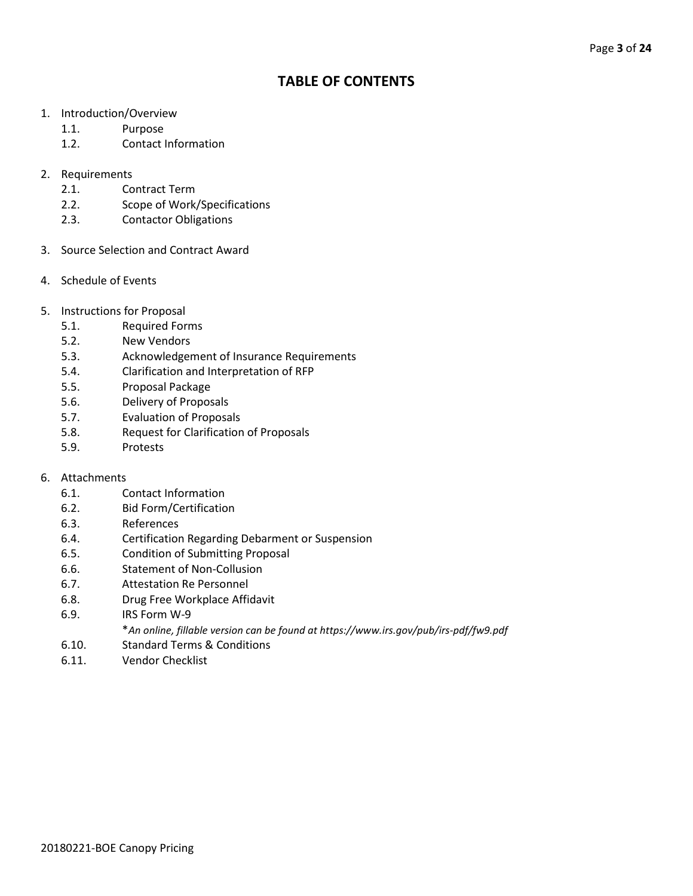# **TABLE OF CONTENTS**

- 1. Introduction/Overview
	- 1.1. Purpose
	- 1.2. Contact Information
- 2. Requirements
	- 2.1. Contract Term
	- 2.2. Scope of Work/Specifications
	- 2.3. Contactor Obligations
- 3. Source Selection and Contract Award
- 4. Schedule of Events
- 5. Instructions for Proposal
	- 5.1. Required Forms
	- 5.2. New Vendors
	- 5.3. Acknowledgement of Insurance Requirements
	- 5.4. Clarification and Interpretation of RFP
	- 5.5. Proposal Package
	- 5.6. Delivery of Proposals
	- 5.7. Evaluation of Proposals
	- 5.8. Request for Clarification of Proposals
	- 5.9. Protests

#### 6. Attachments

- 6.1. Contact Information
- 6.2. Bid Form/Certification
- 6.3. References
- 6.4. Certification Regarding Debarment or Suspension
- 6.5. Condition of Submitting Proposal
- 6.6. Statement of Non-Collusion
- 6.7. Attestation Re Personnel
- 6.8. Drug Free Workplace Affidavit
- 6.9. IRS Form W-9
	- \**An online, fillable version can be found at https://www.irs.gov/pub/irs-pdf/fw9.pdf*
- 6.10. Standard Terms & Conditions
- 6.11. Vendor Checklist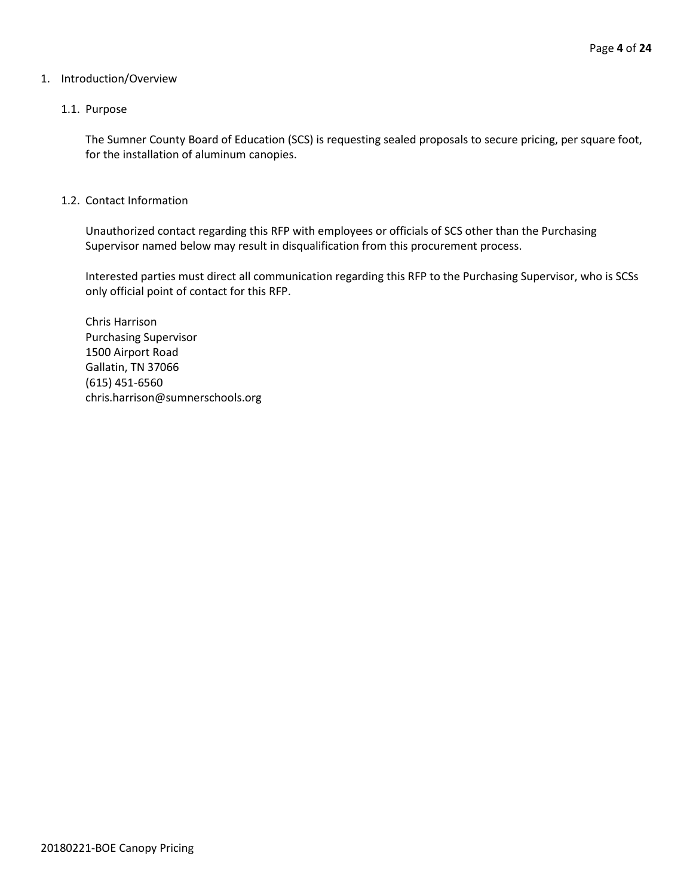#### 1. Introduction/Overview

#### 1.1. Purpose

The Sumner County Board of Education (SCS) is requesting sealed proposals to secure pricing, per square foot, for the installation of aluminum canopies.

#### 1.2. Contact Information

Unauthorized contact regarding this RFP with employees or officials of SCS other than the Purchasing Supervisor named below may result in disqualification from this procurement process.

Interested parties must direct all communication regarding this RFP to the Purchasing Supervisor, who is SCSs only official point of contact for this RFP.

Chris Harrison Purchasing Supervisor 1500 Airport Road Gallatin, TN 37066 (615) 451-6560 chris.harrison@sumnerschools.org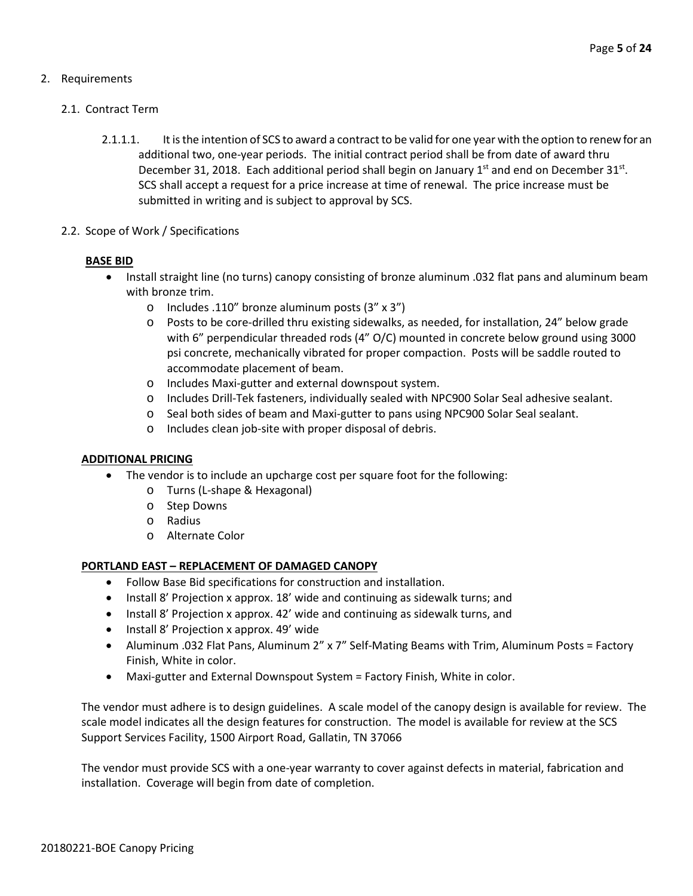## 2. Requirements

#### 2.1. Contract Term

- 2.1.1.1. It is the intention of SCS to award a contract to be valid for one year with the option to renew for an additional two, one-year periods. The initial contract period shall be from date of award thru December 31, 2018. Each additional period shall begin on January  $1<sup>st</sup>$  and end on December 31 $<sup>st</sup>$ .</sup> SCS shall accept a request for a price increase at time of renewal. The price increase must be submitted in writing and is subject to approval by SCS.
- 2.2. Scope of Work / Specifications

#### **BASE BID**

- Install straight line (no turns) canopy consisting of bronze aluminum .032 flat pans and aluminum beam with bronze trim.
	- o Includes .110" bronze aluminum posts (3" x 3")
	- o Posts to be core-drilled thru existing sidewalks, as needed, for installation, 24" below grade with 6" perpendicular threaded rods (4" O/C) mounted in concrete below ground using 3000 psi concrete, mechanically vibrated for proper compaction. Posts will be saddle routed to accommodate placement of beam.
	- o Includes Maxi-gutter and external downspout system.
	- o Includes Drill-Tek fasteners, individually sealed with NPC900 Solar Seal adhesive sealant.
	- o Seal both sides of beam and Maxi-gutter to pans using NPC900 Solar Seal sealant.
	- o Includes clean job-site with proper disposal of debris.

#### **ADDITIONAL PRICING**

- The vendor is to include an upcharge cost per square foot for the following:
	- o Turns (L-shape & Hexagonal)
	- o Step Downs
	- o Radius
	- o Alternate Color

#### **PORTLAND EAST – REPLACEMENT OF DAMAGED CANOPY**

- Follow Base Bid specifications for construction and installation.
- Install 8' Projection x approx. 18' wide and continuing as sidewalk turns; and
- Install 8' Projection x approx. 42' wide and continuing as sidewalk turns, and
- Install 8' Projection x approx. 49' wide
- Aluminum .032 Flat Pans, Aluminum 2" x 7" Self-Mating Beams with Trim, Aluminum Posts = Factory Finish, White in color.
- Maxi-gutter and External Downspout System = Factory Finish, White in color.

The vendor must adhere is to design guidelines. A scale model of the canopy design is available for review. The scale model indicates all the design features for construction. The model is available for review at the SCS Support Services Facility, 1500 Airport Road, Gallatin, TN 37066

The vendor must provide SCS with a one-year warranty to cover against defects in material, fabrication and installation. Coverage will begin from date of completion.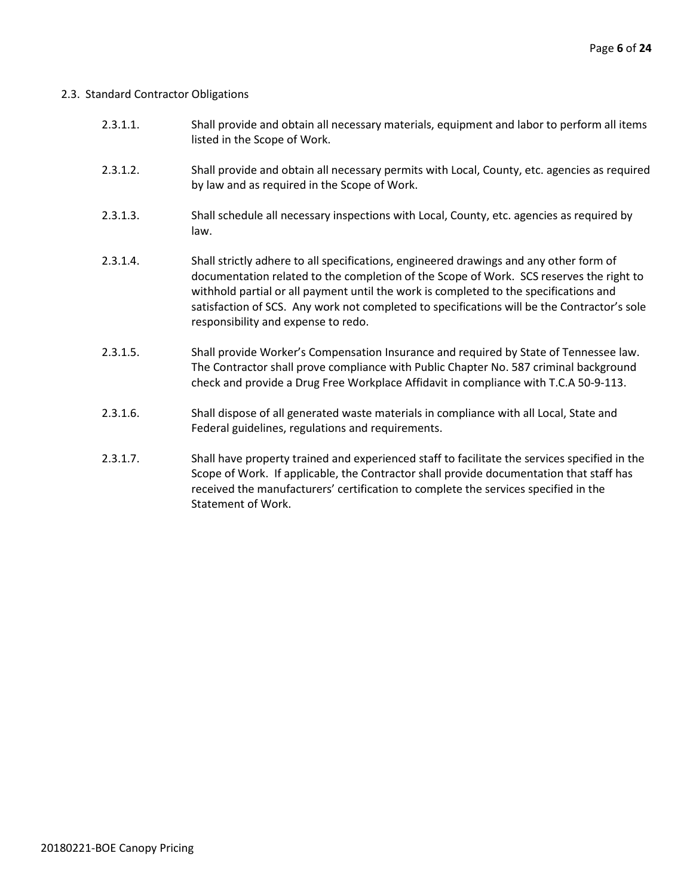#### 2.3. Standard Contractor Obligations

| 2.3.1.1. | Shall provide and obtain all necessary materials, equipment and labor to perform all items |
|----------|--------------------------------------------------------------------------------------------|
|          | listed in the Scope of Work.                                                               |

- 2.3.1.2. Shall provide and obtain all necessary permits with Local, County, etc. agencies as required by law and as required in the Scope of Work.
- 2.3.1.3. Shall schedule all necessary inspections with Local, County, etc. agencies as required by law.
- 2.3.1.4. Shall strictly adhere to all specifications, engineered drawings and any other form of documentation related to the completion of the Scope of Work. SCS reserves the right to withhold partial or all payment until the work is completed to the specifications and satisfaction of SCS. Any work not completed to specifications will be the Contractor's sole responsibility and expense to redo.
- 2.3.1.5. Shall provide Worker's Compensation Insurance and required by State of Tennessee law. The Contractor shall prove compliance with Public Chapter No. 587 criminal background check and provide a Drug Free Workplace Affidavit in compliance with T.C.A 50-9-113.
- 2.3.1.6. Shall dispose of all generated waste materials in compliance with all Local, State and Federal guidelines, regulations and requirements.
- 2.3.1.7. Shall have property trained and experienced staff to facilitate the services specified in the Scope of Work. If applicable, the Contractor shall provide documentation that staff has received the manufacturers' certification to complete the services specified in the Statement of Work.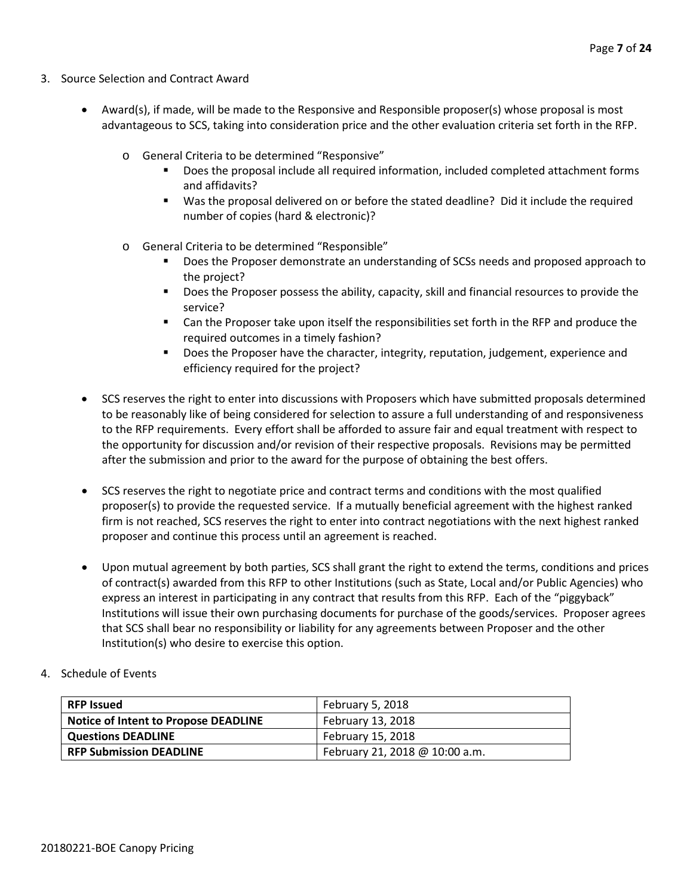- 3. Source Selection and Contract Award
	- Award(s), if made, will be made to the Responsive and Responsible proposer(s) whose proposal is most advantageous to SCS, taking into consideration price and the other evaluation criteria set forth in the RFP.
		- o General Criteria to be determined "Responsive"
			- Does the proposal include all required information, included completed attachment forms and affidavits?
			- Was the proposal delivered on or before the stated deadline? Did it include the required number of copies (hard & electronic)?
		- o General Criteria to be determined "Responsible"
			- Does the Proposer demonstrate an understanding of SCSs needs and proposed approach to the project?
			- **Does the Proposer possess the ability, capacity, skill and financial resources to provide the** service?
			- Can the Proposer take upon itself the responsibilities set forth in the RFP and produce the required outcomes in a timely fashion?
			- **Does the Proposer have the character, integrity, reputation, judgement, experience and** efficiency required for the project?
	- SCS reserves the right to enter into discussions with Proposers which have submitted proposals determined to be reasonably like of being considered for selection to assure a full understanding of and responsiveness to the RFP requirements. Every effort shall be afforded to assure fair and equal treatment with respect to the opportunity for discussion and/or revision of their respective proposals. Revisions may be permitted after the submission and prior to the award for the purpose of obtaining the best offers.
	- SCS reserves the right to negotiate price and contract terms and conditions with the most qualified proposer(s) to provide the requested service. If a mutually beneficial agreement with the highest ranked firm is not reached, SCS reserves the right to enter into contract negotiations with the next highest ranked proposer and continue this process until an agreement is reached.
	- Upon mutual agreement by both parties, SCS shall grant the right to extend the terms, conditions and prices of contract(s) awarded from this RFP to other Institutions (such as State, Local and/or Public Agencies) who express an interest in participating in any contract that results from this RFP. Each of the "piggyback" Institutions will issue their own purchasing documents for purchase of the goods/services. Proposer agrees that SCS shall bear no responsibility or liability for any agreements between Proposer and the other Institution(s) who desire to exercise this option.
- 4. Schedule of Events

| <b>RFP Issued</b>                    | February 5, 2018               |
|--------------------------------------|--------------------------------|
| Notice of Intent to Propose DEADLINE | February 13, 2018              |
| <b>Questions DEADLINE</b>            | February 15, 2018              |
| <b>RFP Submission DEADLINE</b>       | February 21, 2018 @ 10:00 a.m. |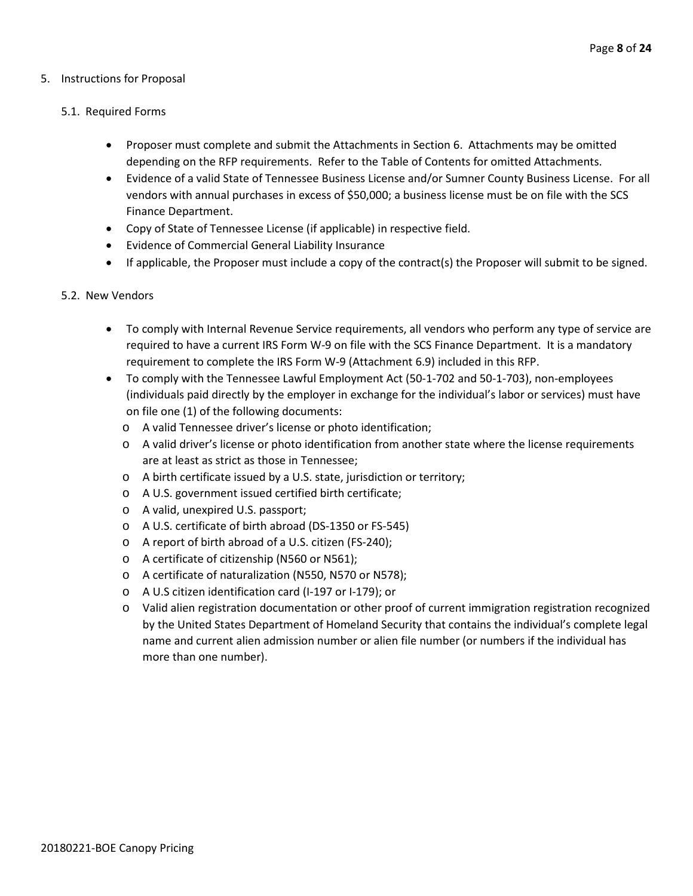#### 5. Instructions for Proposal

#### 5.1. Required Forms

- Proposer must complete and submit the Attachments in Section 6. Attachments may be omitted depending on the RFP requirements. Refer to the Table of Contents for omitted Attachments.
- Evidence of a valid State of Tennessee Business License and/or Sumner County Business License. For all vendors with annual purchases in excess of \$50,000; a business license must be on file with the SCS Finance Department.
- Copy of State of Tennessee License (if applicable) in respective field.
- Evidence of Commercial General Liability Insurance
- If applicable, the Proposer must include a copy of the contract(s) the Proposer will submit to be signed.

#### 5.2. New Vendors

- To comply with Internal Revenue Service requirements, all vendors who perform any type of service are required to have a current IRS Form W-9 on file with the SCS Finance Department. It is a mandatory requirement to complete the IRS Form W-9 (Attachment 6.9) included in this RFP.
- To comply with the Tennessee Lawful Employment Act (50-1-702 and 50-1-703), non-employees (individuals paid directly by the employer in exchange for the individual's labor or services) must have on file one (1) of the following documents:
	- o A valid Tennessee driver's license or photo identification;
	- o A valid driver's license or photo identification from another state where the license requirements are at least as strict as those in Tennessee;
	- o A birth certificate issued by a U.S. state, jurisdiction or territory;
	- o A U.S. government issued certified birth certificate;
	- o A valid, unexpired U.S. passport;
	- o A U.S. certificate of birth abroad (DS-1350 or FS-545)
	- o A report of birth abroad of a U.S. citizen (FS-240);
	- o A certificate of citizenship (N560 or N561);
	- o A certificate of naturalization (N550, N570 or N578);
	- o A U.S citizen identification card (I-197 or I-179); or
	- o Valid alien registration documentation or other proof of current immigration registration recognized by the United States Department of Homeland Security that contains the individual's complete legal name and current alien admission number or alien file number (or numbers if the individual has more than one number).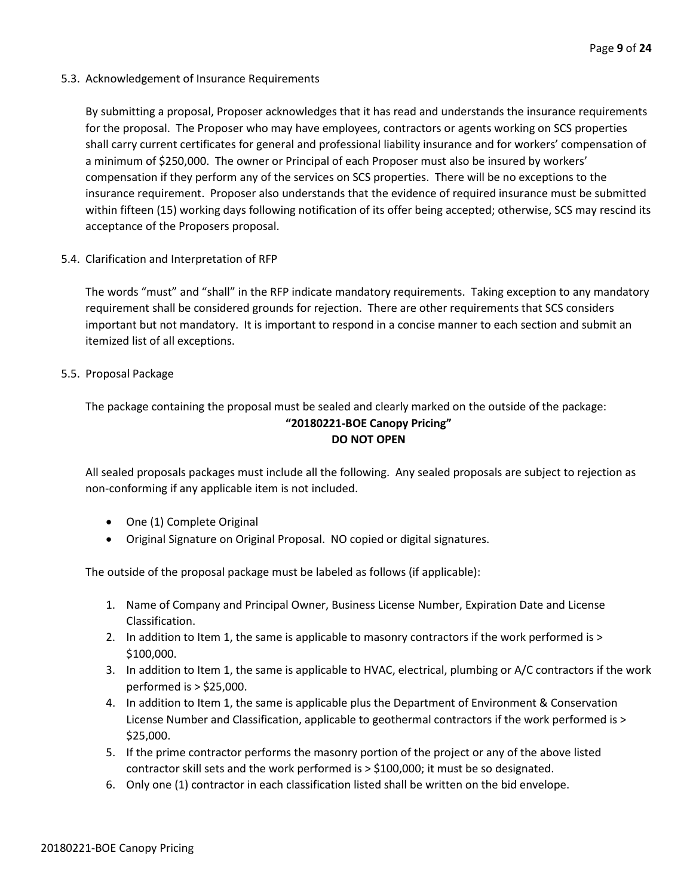5.3. Acknowledgement of Insurance Requirements

By submitting a proposal, Proposer acknowledges that it has read and understands the insurance requirements for the proposal. The Proposer who may have employees, contractors or agents working on SCS properties shall carry current certificates for general and professional liability insurance and for workers' compensation of a minimum of \$250,000. The owner or Principal of each Proposer must also be insured by workers' compensation if they perform any of the services on SCS properties. There will be no exceptions to the insurance requirement. Proposer also understands that the evidence of required insurance must be submitted within fifteen (15) working days following notification of its offer being accepted; otherwise, SCS may rescind its acceptance of the Proposers proposal.

5.4. Clarification and Interpretation of RFP

The words "must" and "shall" in the RFP indicate mandatory requirements. Taking exception to any mandatory requirement shall be considered grounds for rejection. There are other requirements that SCS considers important but not mandatory. It is important to respond in a concise manner to each section and submit an itemized list of all exceptions.

5.5. Proposal Package

The package containing the proposal must be sealed and clearly marked on the outside of the package: **"20180221-BOE Canopy Pricing" DO NOT OPEN**

All sealed proposals packages must include all the following. Any sealed proposals are subject to rejection as non-conforming if any applicable item is not included.

- One (1) Complete Original
- Original Signature on Original Proposal. NO copied or digital signatures.

The outside of the proposal package must be labeled as follows (if applicable):

- 1. Name of Company and Principal Owner, Business License Number, Expiration Date and License Classification.
- 2. In addition to Item 1, the same is applicable to masonry contractors if the work performed is > \$100,000.
- 3. In addition to Item 1, the same is applicable to HVAC, electrical, plumbing or A/C contractors if the work performed is > \$25,000.
- 4. In addition to Item 1, the same is applicable plus the Department of Environment & Conservation License Number and Classification, applicable to geothermal contractors if the work performed is > \$25,000.
- 5. If the prime contractor performs the masonry portion of the project or any of the above listed contractor skill sets and the work performed is > \$100,000; it must be so designated.
- 6. Only one (1) contractor in each classification listed shall be written on the bid envelope.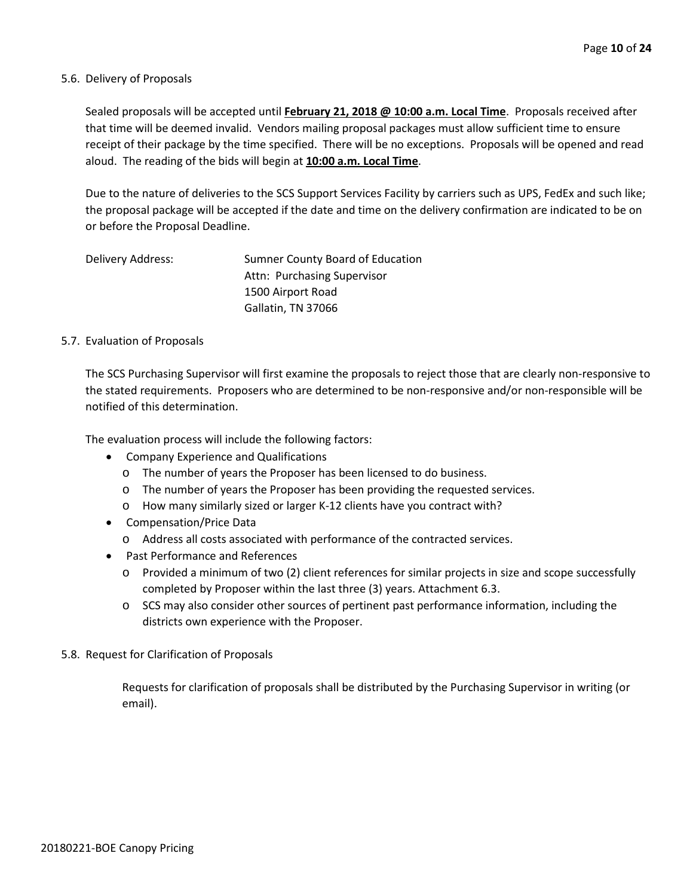#### 5.6. Delivery of Proposals

Sealed proposals will be accepted until **February 21, 2018 @ 10:00 a.m. Local Time**. Proposals received after that time will be deemed invalid. Vendors mailing proposal packages must allow sufficient time to ensure receipt of their package by the time specified. There will be no exceptions. Proposals will be opened and read aloud. The reading of the bids will begin at **10:00 a.m. Local Time**.

Due to the nature of deliveries to the SCS Support Services Facility by carriers such as UPS, FedEx and such like; the proposal package will be accepted if the date and time on the delivery confirmation are indicated to be on or before the Proposal Deadline.

| Delivery Address: | Sumner County Board of Education |
|-------------------|----------------------------------|
|                   | Attn: Purchasing Supervisor      |
|                   | 1500 Airport Road                |
|                   | Gallatin, TN 37066               |

#### 5.7. Evaluation of Proposals

The SCS Purchasing Supervisor will first examine the proposals to reject those that are clearly non-responsive to the stated requirements. Proposers who are determined to be non-responsive and/or non-responsible will be notified of this determination.

The evaluation process will include the following factors:

- Company Experience and Qualifications
	- o The number of years the Proposer has been licensed to do business.
	- o The number of years the Proposer has been providing the requested services.
	- o How many similarly sized or larger K-12 clients have you contract with?
- Compensation/Price Data
	- o Address all costs associated with performance of the contracted services.
- Past Performance and References
	- o Provided a minimum of two (2) client references for similar projects in size and scope successfully completed by Proposer within the last three (3) years. Attachment 6.3.
	- o SCS may also consider other sources of pertinent past performance information, including the districts own experience with the Proposer.
- 5.8. Request for Clarification of Proposals

Requests for clarification of proposals shall be distributed by the Purchasing Supervisor in writing (or email).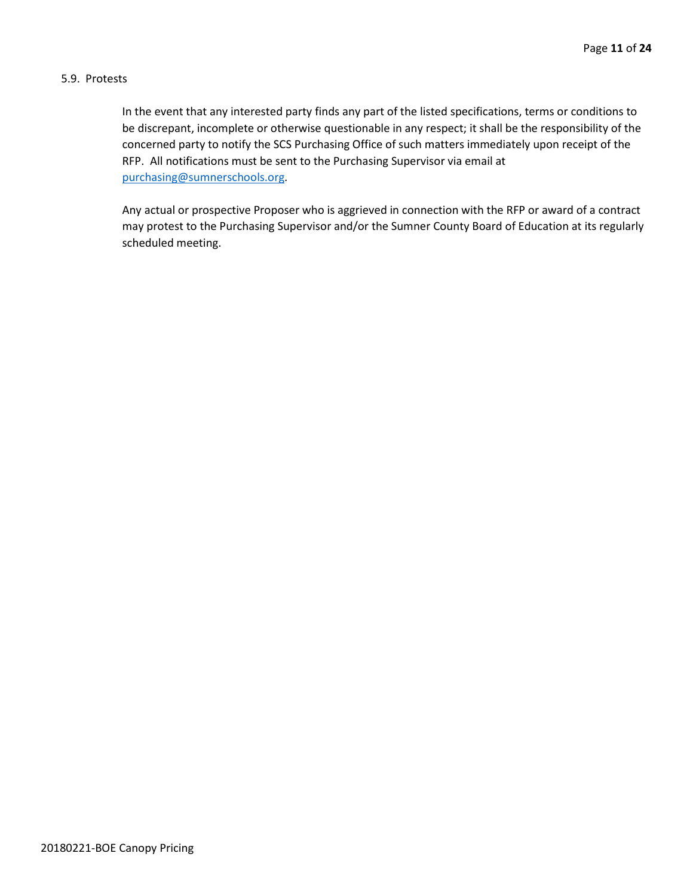#### 5.9. Protests

In the event that any interested party finds any part of the listed specifications, terms or conditions to be discrepant, incomplete or otherwise questionable in any respect; it shall be the responsibility of the concerned party to notify the SCS Purchasing Office of such matters immediately upon receipt of the RFP. All notifications must be sent to the Purchasing Supervisor via email at [purchasing@sumnerschools.org.](mailto:purchasing@sumnerschools.org)

Any actual or prospective Proposer who is aggrieved in connection with the RFP or award of a contract may protest to the Purchasing Supervisor and/or the Sumner County Board of Education at its regularly scheduled meeting.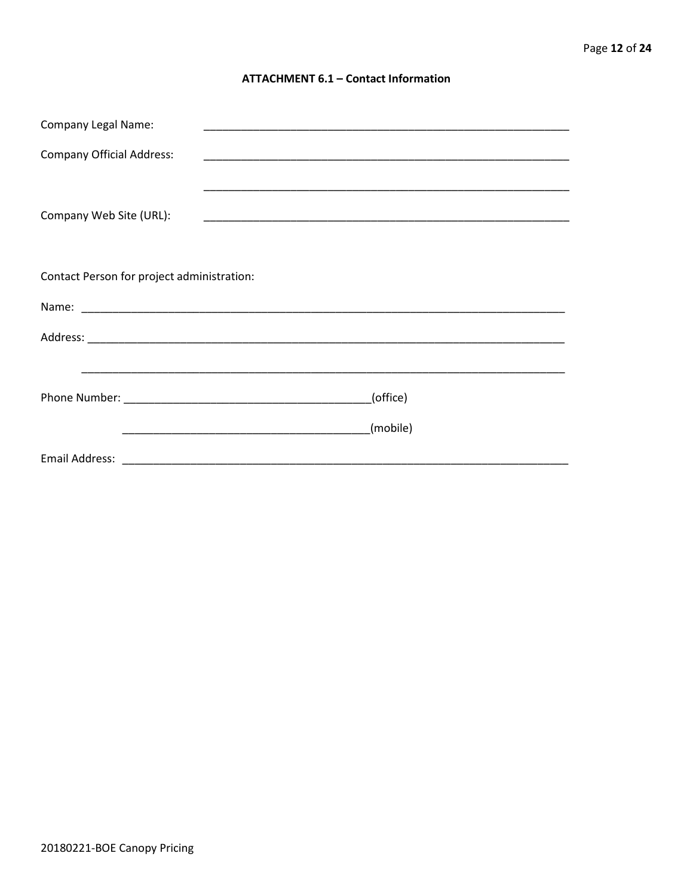#### **ATTACHMENT 6.1 - Contact Information**

| <b>Company Legal Name:</b>                 |          |
|--------------------------------------------|----------|
| <b>Company Official Address:</b>           |          |
|                                            |          |
| Company Web Site (URL):                    |          |
|                                            |          |
| Contact Person for project administration: |          |
|                                            |          |
|                                            |          |
|                                            |          |
|                                            | (office) |
|                                            | (mobile) |
|                                            |          |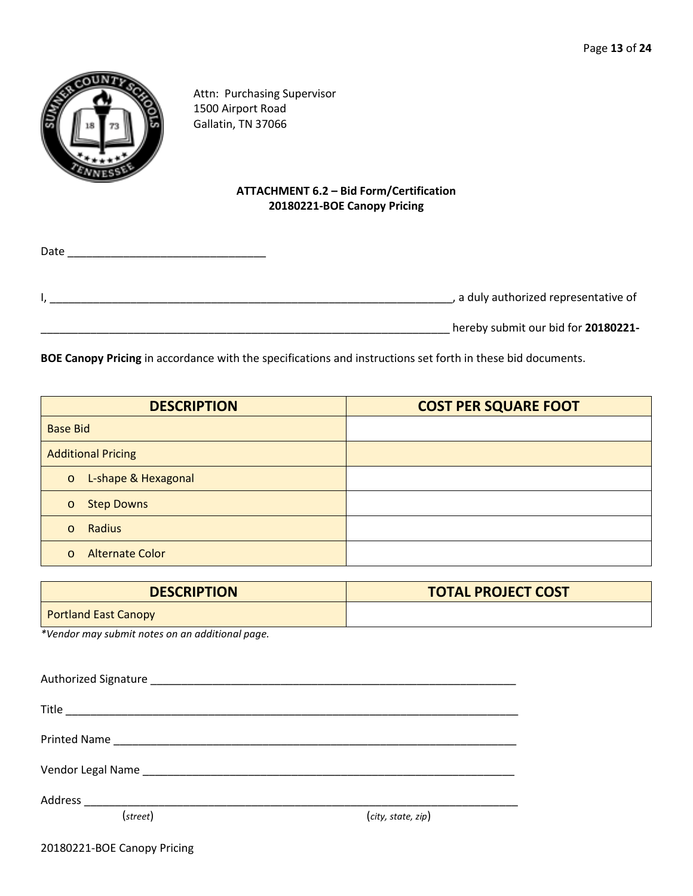

Attn: Purchasing Supervisor 1500 Airport Road Gallatin, TN 37066

# **ATTACHMENT 6.2 – Bid Form/Certification 20180221-BOE Canopy Pricing**

| Date |                                       |
|------|---------------------------------------|
|      | , a duly authorized representative of |
|      | hereby submit our bid for 20180221-   |

**BOE Canopy Pricing** in accordance with the specifications and instructions set forth in these bid documents.

| <b>DESCRIPTION</b>                 | <b>COST PER SQUARE FOOT</b> |
|------------------------------------|-----------------------------|
| <b>Base Bid</b>                    |                             |
| <b>Additional Pricing</b>          |                             |
| o L-shape & Hexagonal              |                             |
| <b>Step Downs</b><br>$\circ$       |                             |
| Radius<br>$\circ$                  |                             |
| <b>Alternate Color</b><br>$\Omega$ |                             |

| <b>DESCRIPTION</b>          | <b>TOTAL PROJECT COST</b> |
|-----------------------------|---------------------------|
| <b>Portland East Canopy</b> |                           |

*\*Vendor may submit notes on an additional page.*

| Printed Name |                    |
|--------------|--------------------|
|              |                    |
|              |                    |
| (street)     | (city, state, zip) |
|              |                    |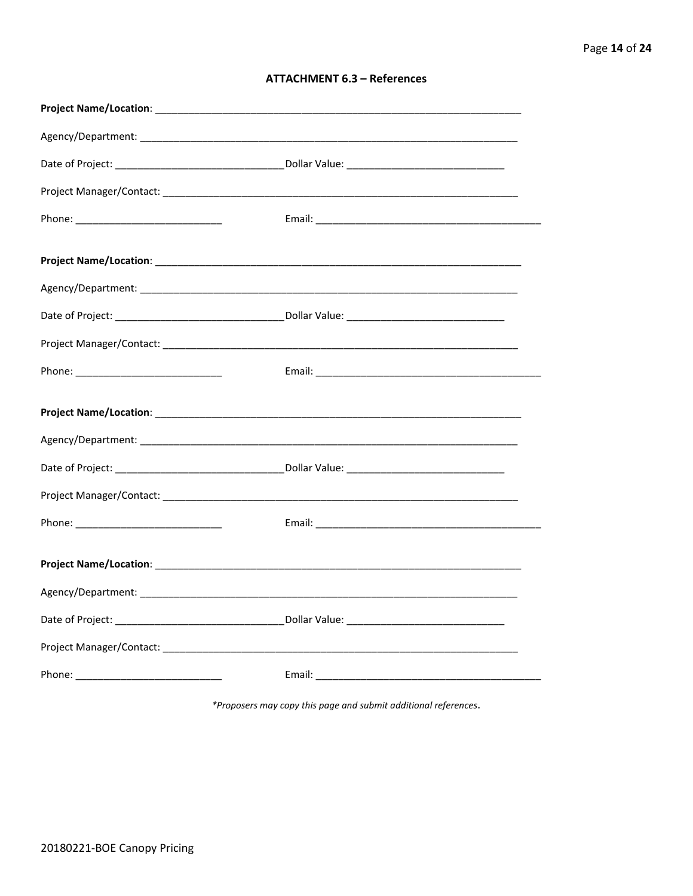| <b>ATTACHMENT 6.3 - References</b> |  |  |
|------------------------------------|--|--|
|------------------------------------|--|--|

\*Proposers may copy this page and submit additional references.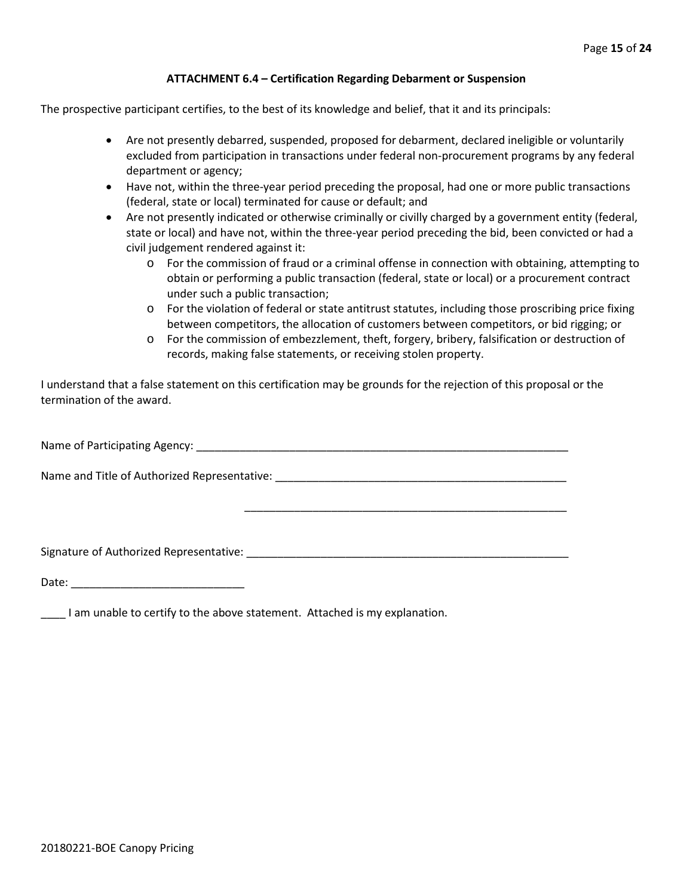#### **ATTACHMENT 6.4 – Certification Regarding Debarment or Suspension**

The prospective participant certifies, to the best of its knowledge and belief, that it and its principals:

- Are not presently debarred, suspended, proposed for debarment, declared ineligible or voluntarily excluded from participation in transactions under federal non-procurement programs by any federal department or agency;
- Have not, within the three-year period preceding the proposal, had one or more public transactions (federal, state or local) terminated for cause or default; and
- Are not presently indicated or otherwise criminally or civilly charged by a government entity (federal, state or local) and have not, within the three-year period preceding the bid, been convicted or had a civil judgement rendered against it:
	- o For the commission of fraud or a criminal offense in connection with obtaining, attempting to obtain or performing a public transaction (federal, state or local) or a procurement contract under such a public transaction;
	- o For the violation of federal or state antitrust statutes, including those proscribing price fixing between competitors, the allocation of customers between competitors, or bid rigging; or
	- o For the commission of embezzlement, theft, forgery, bribery, falsification or destruction of records, making false statements, or receiving stolen property.

\_\_\_\_\_\_\_\_\_\_\_\_\_\_\_\_\_\_\_\_\_\_\_\_\_\_\_\_\_\_\_\_\_\_\_\_\_\_\_\_\_\_\_\_\_\_\_\_\_\_\_\_

I understand that a false statement on this certification may be grounds for the rejection of this proposal or the termination of the award.

Name of Participating Agency: \_\_\_\_\_\_\_\_\_\_\_\_\_\_\_\_\_\_\_\_\_\_\_\_\_\_\_\_\_\_\_\_\_\_\_\_\_\_\_\_\_\_\_\_\_\_\_\_\_\_\_\_\_\_\_\_\_\_\_\_

Name and Title of Authorized Representative: \_\_\_\_\_\_\_\_\_\_\_\_\_\_\_\_\_\_\_\_\_\_\_\_\_\_\_\_\_\_\_\_\_\_\_

Signature of Authorized Representative: \_\_\_\_\_\_\_\_\_\_\_\_\_\_\_\_\_\_\_\_\_\_\_\_\_\_\_\_\_\_\_\_\_\_\_\_\_\_\_\_\_\_\_\_\_\_\_\_\_\_\_\_

Date: \_\_\_\_\_\_\_\_\_\_\_\_\_\_\_\_\_\_\_\_\_\_\_\_\_\_\_\_

**\_\_\_\_** I am unable to certify to the above statement. Attached is my explanation.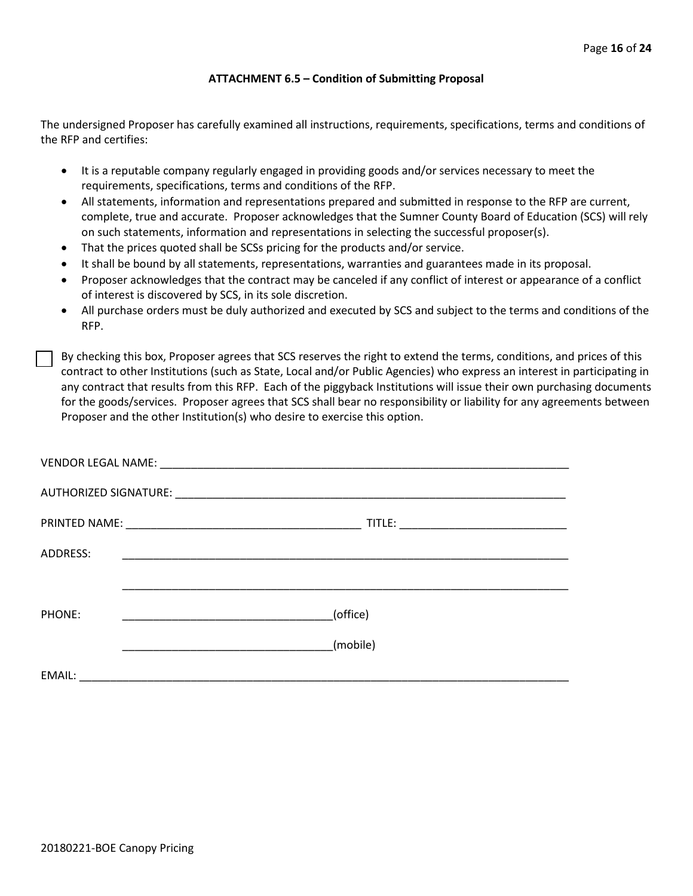#### **ATTACHMENT 6.5 – Condition of Submitting Proposal**

The undersigned Proposer has carefully examined all instructions, requirements, specifications, terms and conditions of the RFP and certifies:

- It is a reputable company regularly engaged in providing goods and/or services necessary to meet the requirements, specifications, terms and conditions of the RFP.
- All statements, information and representations prepared and submitted in response to the RFP are current, complete, true and accurate. Proposer acknowledges that the Sumner County Board of Education (SCS) will rely on such statements, information and representations in selecting the successful proposer(s).
- That the prices quoted shall be SCSs pricing for the products and/or service.
- It shall be bound by all statements, representations, warranties and guarantees made in its proposal.
- Proposer acknowledges that the contract may be canceled if any conflict of interest or appearance of a conflict of interest is discovered by SCS, in its sole discretion.
- All purchase orders must be duly authorized and executed by SCS and subject to the terms and conditions of the RFP.

By checking this box, Proposer agrees that SCS reserves the right to extend the terms, conditions, and prices of this contract to other Institutions (such as State, Local and/or Public Agencies) who express an interest in participating in any contract that results from this RFP. Each of the piggyback Institutions will issue their own purchasing documents for the goods/services. Proposer agrees that SCS shall bear no responsibility or liability for any agreements between Proposer and the other Institution(s) who desire to exercise this option.

| ADDRESS: | <u> 1990 - Johann John Stone, markin film yn y brening yn y brening yn y brening yn y brening yn y brening yn y b</u> |
|----------|-----------------------------------------------------------------------------------------------------------------------|
|          |                                                                                                                       |
| PHONE:   | (office)                                                                                                              |
|          | (mobile)                                                                                                              |
| EMAIL:   |                                                                                                                       |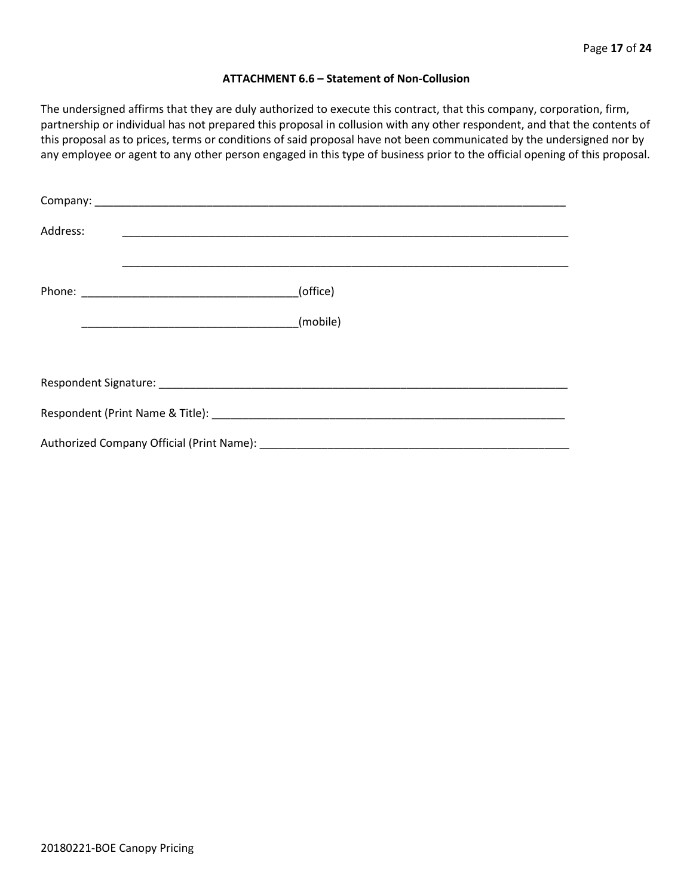#### **ATTACHMENT 6.6 – Statement of Non-Collusion**

The undersigned affirms that they are duly authorized to execute this contract, that this company, corporation, firm, partnership or individual has not prepared this proposal in collusion with any other respondent, and that the contents of this proposal as to prices, terms or conditions of said proposal have not been communicated by the undersigned nor by any employee or agent to any other person engaged in this type of business prior to the official opening of this proposal.

| Address: |          |  |  |  |  |
|----------|----------|--|--|--|--|
|          | (office) |  |  |  |  |
|          |          |  |  |  |  |
|          |          |  |  |  |  |
|          |          |  |  |  |  |
|          |          |  |  |  |  |
|          |          |  |  |  |  |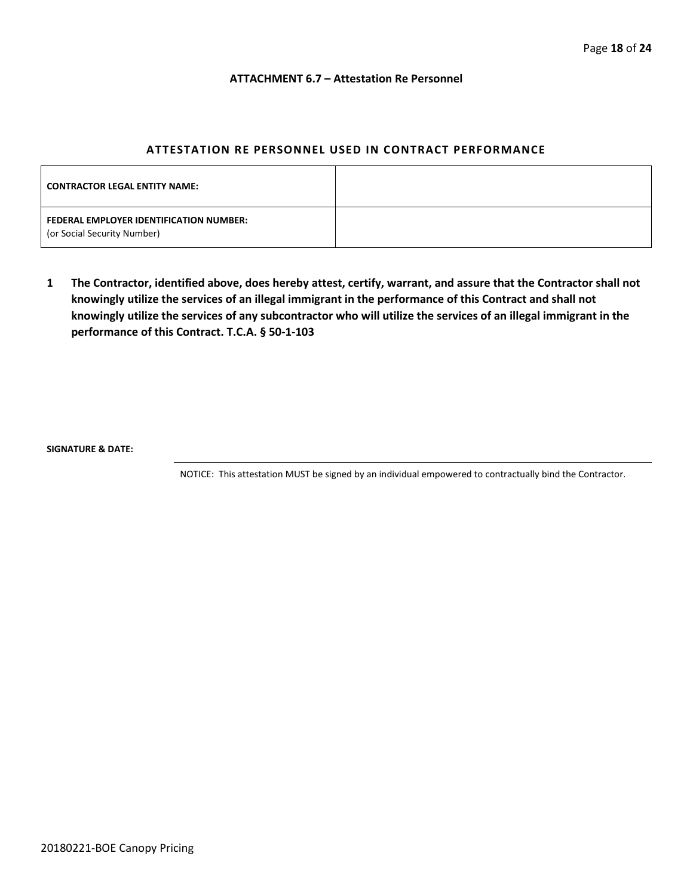#### **ATTACHMENT 6.7 – Attestation Re Personnel**

#### **ATTESTATION RE PERSONNEL USED IN CONTRACT PERFORMANCE**

| <b>CONTRACTOR LEGAL ENTITY NAME:</b>                                   |  |
|------------------------------------------------------------------------|--|
| FEDERAL EMPLOYER IDENTIFICATION NUMBER:<br>(or Social Security Number) |  |

**1 The Contractor, identified above, does hereby attest, certify, warrant, and assure that the Contractor shall not knowingly utilize the services of an illegal immigrant in the performance of this Contract and shall not knowingly utilize the services of any subcontractor who will utilize the services of an illegal immigrant in the performance of this Contract. T.C.A. § 50-1-103**

**SIGNATURE & DATE:**

NOTICE: This attestation MUST be signed by an individual empowered to contractually bind the Contractor.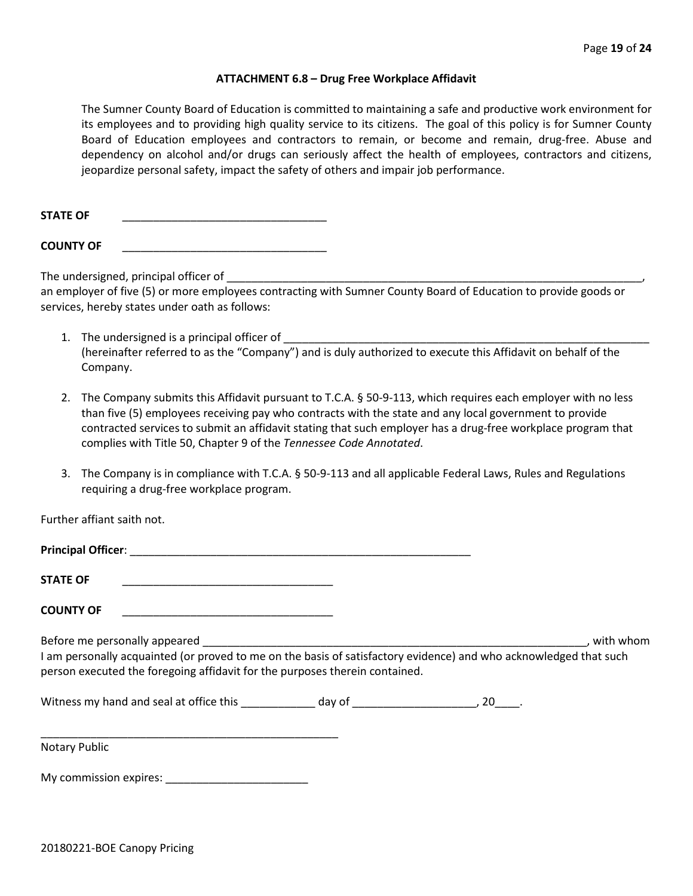#### **ATTACHMENT 6.8 – Drug Free Workplace Affidavit**

The Sumner County Board of Education is committed to maintaining a safe and productive work environment for its employees and to providing high quality service to its citizens. The goal of this policy is for Sumner County Board of Education employees and contractors to remain, or become and remain, drug-free. Abuse and dependency on alcohol and/or drugs can seriously affect the health of employees, contractors and citizens, jeopardize personal safety, impact the safety of others and impair job performance.

STATE OF

**COUNTY OF** \_\_\_\_\_\_\_\_\_\_\_\_\_\_\_\_\_\_\_\_\_\_\_\_\_\_\_\_\_\_\_\_\_

The undersigned, principal officer of

an employer of five (5) or more employees contracting with Sumner County Board of Education to provide goods or services, hereby states under oath as follows:

- 1. The undersigned is a principal officer of (hereinafter referred to as the "Company") and is duly authorized to execute this Affidavit on behalf of the Company.
- 2. The Company submits this Affidavit pursuant to T.C.A. § 50-9-113, which requires each employer with no less than five (5) employees receiving pay who contracts with the state and any local government to provide contracted services to submit an affidavit stating that such employer has a drug-free workplace program that complies with Title 50, Chapter 9 of the *Tennessee Code Annotated*.
- 3. The Company is in compliance with T.C.A. § 50-9-113 and all applicable Federal Laws, Rules and Regulations requiring a drug-free workplace program.

Further affiant saith not.

| <b>Principal Officer:</b>                                                                                                                                                                        |  |           |
|--------------------------------------------------------------------------------------------------------------------------------------------------------------------------------------------------|--|-----------|
| <b>STATE OF</b>                                                                                                                                                                                  |  |           |
| <b>COUNTY OF</b>                                                                                                                                                                                 |  |           |
| I am personally acquainted (or proved to me on the basis of satisfactory evidence) and who acknowledged that such<br>person executed the foregoing affidavit for the purposes therein contained. |  | with whom |
|                                                                                                                                                                                                  |  |           |
|                                                                                                                                                                                                  |  |           |

Notary Public

My commission expires: \_\_\_\_\_\_\_\_\_\_\_\_\_\_\_\_\_\_\_\_\_\_\_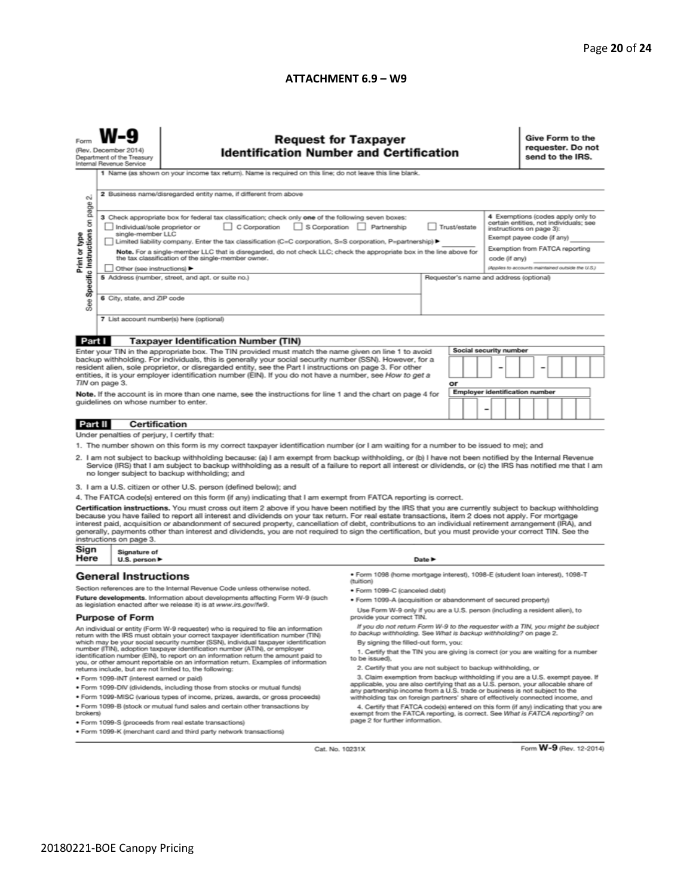#### **ATTACHMENT 6.9 – W9**

| $\sim$                                                                                                                                                                                                                                                                                                                                                                                                                                                                                                                                                                                                                                                                                                                                                                                                                                                                                                                                                                                                                                                                                                                                                                                                                                                                                                                                                                                                        | <b>Request for Taxpayer</b><br>(Rev. December 2014)<br><b>Identification Number and Certification</b><br>Department of the Treasury<br>Internal Revenue Service<br>1 Name (as shown on your income tax return). Name is required on this line; do not leave this line blank.<br>2 Business name/disregarded entity name, if different from above |                                                                                                                                                                                                                                                                                                                                                                                                                                                                                                                                                                                                                                                                                             |                                                                                                                                                                                                                                                                                                                                                                                                                                                                                                                                                                                                                 |        |  |  |  | Give Form to the<br>requester. Do not<br>send to the IRS.                                                                                                                                                                    |  |  |  |  |
|---------------------------------------------------------------------------------------------------------------------------------------------------------------------------------------------------------------------------------------------------------------------------------------------------------------------------------------------------------------------------------------------------------------------------------------------------------------------------------------------------------------------------------------------------------------------------------------------------------------------------------------------------------------------------------------------------------------------------------------------------------------------------------------------------------------------------------------------------------------------------------------------------------------------------------------------------------------------------------------------------------------------------------------------------------------------------------------------------------------------------------------------------------------------------------------------------------------------------------------------------------------------------------------------------------------------------------------------------------------------------------------------------------------|--------------------------------------------------------------------------------------------------------------------------------------------------------------------------------------------------------------------------------------------------------------------------------------------------------------------------------------------------|---------------------------------------------------------------------------------------------------------------------------------------------------------------------------------------------------------------------------------------------------------------------------------------------------------------------------------------------------------------------------------------------------------------------------------------------------------------------------------------------------------------------------------------------------------------------------------------------------------------------------------------------------------------------------------------------|-----------------------------------------------------------------------------------------------------------------------------------------------------------------------------------------------------------------------------------------------------------------------------------------------------------------------------------------------------------------------------------------------------------------------------------------------------------------------------------------------------------------------------------------------------------------------------------------------------------------|--------|--|--|--|------------------------------------------------------------------------------------------------------------------------------------------------------------------------------------------------------------------------------|--|--|--|--|
| Specific Instructions on page<br>Print or type<br>See                                                                                                                                                                                                                                                                                                                                                                                                                                                                                                                                                                                                                                                                                                                                                                                                                                                                                                                                                                                                                                                                                                                                                                                                                                                                                                                                                         | single-member LLC<br>6 City, state, and ZIP code                                                                                                                                                                                                                                                                                                 | 3 Check appropriate box for federal tax classification; check only one of the following seven boxes:<br>C Corporation<br>S Corporation Partnership<br>Trust/estate<br>Individual/sole proprietor or<br>Limited liability company. Enter the tax classification (C=C corporation, S=S corporation, P=partnership) ▶<br>Note. For a single-member LLC that is disregarded, do not check LLC; check the appropriate box in the line above for<br>the tax classification of the single-member owner.<br>code (if any)<br>Other (see instructions) ▶<br>5 Address (number, street, and apt. or suite no.)<br>Requester's name and address (optional)<br>7 List account number(s) here (optional) |                                                                                                                                                                                                                                                                                                                                                                                                                                                                                                                                                                                                                 |        |  |  |  | 4 Exemptions (codes apply only to<br>certain entities, not individuals; see<br>instructions on page 3):<br>Exempt payee code (if any)<br>Exemption from FATCA reporting<br>(Applies to accounts maintained outside the U.S.) |  |  |  |  |
|                                                                                                                                                                                                                                                                                                                                                                                                                                                                                                                                                                                                                                                                                                                                                                                                                                                                                                                                                                                                                                                                                                                                                                                                                                                                                                                                                                                                               |                                                                                                                                                                                                                                                                                                                                                  |                                                                                                                                                                                                                                                                                                                                                                                                                                                                                                                                                                                                                                                                                             |                                                                                                                                                                                                                                                                                                                                                                                                                                                                                                                                                                                                                 |        |  |  |  |                                                                                                                                                                                                                              |  |  |  |  |
| Part I<br><b>Taxpayer Identification Number (TIN)</b><br><b>Social security number</b><br>Enter your TIN in the appropriate box. The TIN provided must match the name given on line 1 to avoid<br>backup withholding. For individuals, this is generally your social security number (SSN). However, for a<br>resident alien, sole proprietor, or disregarded entity, see the Part I instructions on page 3. For other<br>entities, it is your employer identification number (EIN). If you do not have a number, see How to get a<br>TIN on page 3.<br>or<br><b>Employer identification number</b><br>Note. If the account is in more than one name, see the instructions for line 1 and the chart on page 4 for<br>guidelines on whose number to enter.<br>-                                                                                                                                                                                                                                                                                                                                                                                                                                                                                                                                                                                                                                                |                                                                                                                                                                                                                                                                                                                                                  |                                                                                                                                                                                                                                                                                                                                                                                                                                                                                                                                                                                                                                                                                             |                                                                                                                                                                                                                                                                                                                                                                                                                                                                                                                                                                                                                 |        |  |  |  |                                                                                                                                                                                                                              |  |  |  |  |
|                                                                                                                                                                                                                                                                                                                                                                                                                                                                                                                                                                                                                                                                                                                                                                                                                                                                                                                                                                                                                                                                                                                                                                                                                                                                                                                                                                                                               |                                                                                                                                                                                                                                                                                                                                                  |                                                                                                                                                                                                                                                                                                                                                                                                                                                                                                                                                                                                                                                                                             |                                                                                                                                                                                                                                                                                                                                                                                                                                                                                                                                                                                                                 |        |  |  |  |                                                                                                                                                                                                                              |  |  |  |  |
| Part II                                                                                                                                                                                                                                                                                                                                                                                                                                                                                                                                                                                                                                                                                                                                                                                                                                                                                                                                                                                                                                                                                                                                                                                                                                                                                                                                                                                                       | Certification                                                                                                                                                                                                                                                                                                                                    |                                                                                                                                                                                                                                                                                                                                                                                                                                                                                                                                                                                                                                                                                             |                                                                                                                                                                                                                                                                                                                                                                                                                                                                                                                                                                                                                 |        |  |  |  |                                                                                                                                                                                                                              |  |  |  |  |
| Under penalties of perjury, I certify that:<br>1. The number shown on this form is my correct taxpayer identification number (or I am waiting for a number to be issued to me); and<br>2. I am not subject to backup withholding because: (a) I am exempt from backup withholding, or (b) I have not been notified by the Internal Revenue<br>Service (IRS) that I am subject to backup withholding as a result of a failure to report all interest or dividends, or (c) the IRS has notified me that I am<br>no longer subject to backup withholding; and<br>3. I am a U.S. citizen or other U.S. person (defined below); and<br>4. The FATCA code(s) entered on this form (if any) indicating that I am exempt from FATCA reporting is correct.<br>Certification instructions. You must cross out item 2 above if you have been notified by the IRS that you are currently subject to backup withholding<br>because you have failed to report all interest and dividends on your tax return. For real estate transactions, item 2 does not apply. For mortgage<br>interest paid, acquisition or abandonment of secured property, cancellation of debt, contributions to an individual retirement arrangement (IRA), and<br>generally, payments other than interest and dividends, you are not required to sign the certification, but you must provide your correct TIN. See the<br>instructions on page 3. |                                                                                                                                                                                                                                                                                                                                                  |                                                                                                                                                                                                                                                                                                                                                                                                                                                                                                                                                                                                                                                                                             |                                                                                                                                                                                                                                                                                                                                                                                                                                                                                                                                                                                                                 |        |  |  |  |                                                                                                                                                                                                                              |  |  |  |  |
| Sign                                                                                                                                                                                                                                                                                                                                                                                                                                                                                                                                                                                                                                                                                                                                                                                                                                                                                                                                                                                                                                                                                                                                                                                                                                                                                                                                                                                                          | Signature of                                                                                                                                                                                                                                                                                                                                     |                                                                                                                                                                                                                                                                                                                                                                                                                                                                                                                                                                                                                                                                                             |                                                                                                                                                                                                                                                                                                                                                                                                                                                                                                                                                                                                                 |        |  |  |  |                                                                                                                                                                                                                              |  |  |  |  |
| Here                                                                                                                                                                                                                                                                                                                                                                                                                                                                                                                                                                                                                                                                                                                                                                                                                                                                                                                                                                                                                                                                                                                                                                                                                                                                                                                                                                                                          | U.S. person $\blacktriangleright$                                                                                                                                                                                                                                                                                                                |                                                                                                                                                                                                                                                                                                                                                                                                                                                                                                                                                                                                                                                                                             |                                                                                                                                                                                                                                                                                                                                                                                                                                                                                                                                                                                                                 | Date P |  |  |  |                                                                                                                                                                                                                              |  |  |  |  |
| <b>General Instructions</b><br>Section references are to the Internal Revenue Code unless otherwise noted.<br>Future developments. Information about developments affecting Form W-9 (such<br>as legislation enacted after we release it) is at www.irs.gov/fw9.<br><b>Purpose of Form</b><br>An individual or entity (Form W-9 requester) who is required to file an information<br>return with the IRS must obtain your correct taxpayer identification number (TIN)<br>which may be your social security number (SSN), individual taxpayer identification<br>number (ITIN), adoption taxpayer identification number (ATIN), or employer<br>identification number (EIN), to report on an information return the amount paid to                                                                                                                                                                                                                                                                                                                                                                                                                                                                                                                                                                                                                                                                              |                                                                                                                                                                                                                                                                                                                                                  | ● Form 1098 (home mortgage interest), 1098-E (student loan interest), 1098-T<br>(tuition)<br>· Form 1099-C (canceled debt)<br>. Form 1099-A (acquisition or abandonment of secured property)<br>Use Form W-9 only if you are a U.S. person (including a resident alien), to<br>provide your correct TIN.<br>If you do not return Form W-9 to the requester with a TIN, you might be subject<br>to backup withholding. See What is backup withholding? on page 2.<br>By signing the filled-out form, you:<br>1. Certify that the TIN you are giving is correct (or you are waiting for a number<br>to be issued).                                                                            |                                                                                                                                                                                                                                                                                                                                                                                                                                                                                                                                                                                                                 |        |  |  |  |                                                                                                                                                                                                                              |  |  |  |  |
| you, or other amount reportable on an information return. Examples of information<br>returns include, but are not limited to, the following:<br>· Form 1099-INT (interest earned or paid)<br>. Form 1099-DIV (dividends, including those from stocks or mutual funds)<br>. Form 1099-MISC (various types of income, prizes, awards, or gross proceeds)<br>. Form 1099-B (stock or mutual fund sales and certain other transactions by<br>brokers)<br>· Form 1099-S (proceeds from real estate transactions)<br>. Form 1099-K (merchant card and third party network transactions)                                                                                                                                                                                                                                                                                                                                                                                                                                                                                                                                                                                                                                                                                                                                                                                                                             |                                                                                                                                                                                                                                                                                                                                                  |                                                                                                                                                                                                                                                                                                                                                                                                                                                                                                                                                                                                                                                                                             | 2. Certify that you are not subject to backup withholding, or<br>3. Claim exemption from backup withholding if you are a U.S. exempt payee. If<br>applicable, you are also certifying that as a U.S. person, your allocable share of<br>any partnership income from a U.S. trade or business is not subject to the<br>withholding tax on foreign partners' share of effectively connected income, and<br>4. Certify that FATCA code(s) entered on this form (if any) indicating that you are<br>exempt from the FATCA reporting, is correct. See What is FATCA reporting? on<br>page 2 for further information. |        |  |  |  |                                                                                                                                                                                                                              |  |  |  |  |

Cat. No. 10231X

Form **W-9** (Rev. 12-2014)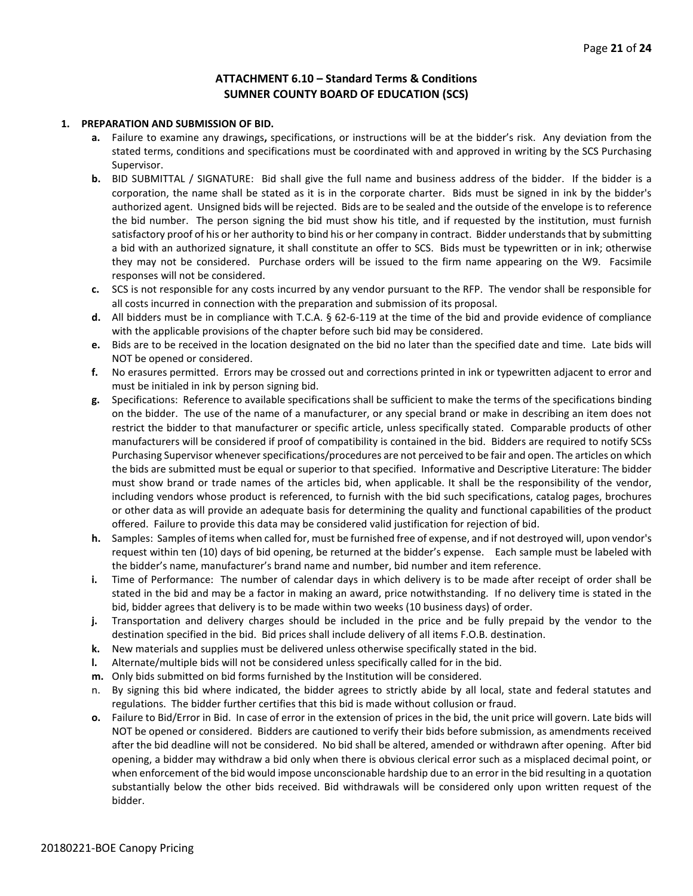#### **ATTACHMENT 6.10 – Standard Terms & Conditions SUMNER COUNTY BOARD OF EDUCATION (SCS)**

#### **1. PREPARATION AND SUBMISSION OF BID.**

- **a.** Failure to examine any drawings**,** specifications, or instructions will be at the bidder's risk. Any deviation from the stated terms, conditions and specifications must be coordinated with and approved in writing by the SCS Purchasing Supervisor.
- **b.** BID SUBMITTAL / SIGNATURE: Bid shall give the full name and business address of the bidder. If the bidder is a corporation, the name shall be stated as it is in the corporate charter. Bids must be signed in ink by the bidder's authorized agent. Unsigned bids will be rejected. Bids are to be sealed and the outside of the envelope is to reference the bid number. The person signing the bid must show his title, and if requested by the institution, must furnish satisfactory proof of his or her authority to bind his or her company in contract. Bidder understands that by submitting a bid with an authorized signature, it shall constitute an offer to SCS. Bids must be typewritten or in ink; otherwise they may not be considered. Purchase orders will be issued to the firm name appearing on the W9. Facsimile responses will not be considered.
- **c.** SCS is not responsible for any costs incurred by any vendor pursuant to the RFP. The vendor shall be responsible for all costs incurred in connection with the preparation and submission of its proposal.
- **d.** All bidders must be in compliance with T.C.A. § 62-6-119 at the time of the bid and provide evidence of compliance with the applicable provisions of the chapter before such bid may be considered.
- **e.** Bids are to be received in the location designated on the bid no later than the specified date and time. Late bids will NOT be opened or considered.
- **f.** No erasures permitted. Errors may be crossed out and corrections printed in ink or typewritten adjacent to error and must be initialed in ink by person signing bid.
- **g.** Specifications: Reference to available specifications shall be sufficient to make the terms of the specifications binding on the bidder. The use of the name of a manufacturer, or any special brand or make in describing an item does not restrict the bidder to that manufacturer or specific article, unless specifically stated. Comparable products of other manufacturers will be considered if proof of compatibility is contained in the bid. Bidders are required to notify SCSs Purchasing Supervisor whenever specifications/procedures are not perceived to be fair and open. The articles on which the bids are submitted must be equal or superior to that specified. Informative and Descriptive Literature: The bidder must show brand or trade names of the articles bid, when applicable. It shall be the responsibility of the vendor, including vendors whose product is referenced, to furnish with the bid such specifications, catalog pages, brochures or other data as will provide an adequate basis for determining the quality and functional capabilities of the product offered. Failure to provide this data may be considered valid justification for rejection of bid.
- **h.** Samples: Samples of items when called for, must be furnished free of expense, and if not destroyed will, upon vendor's request within ten (10) days of bid opening, be returned at the bidder's expense. Each sample must be labeled with the bidder's name, manufacturer's brand name and number, bid number and item reference.
- **i.** Time of Performance: The number of calendar days in which delivery is to be made after receipt of order shall be stated in the bid and may be a factor in making an award, price notwithstanding. If no delivery time is stated in the bid, bidder agrees that delivery is to be made within two weeks (10 business days) of order.
- **j.** Transportation and delivery charges should be included in the price and be fully prepaid by the vendor to the destination specified in the bid. Bid prices shall include delivery of all items F.O.B. destination.
- **k.** New materials and supplies must be delivered unless otherwise specifically stated in the bid.
- **l.** Alternate/multiple bids will not be considered unless specifically called for in the bid.
- **m.** Only bids submitted on bid forms furnished by the Institution will be considered.
- n. By signing this bid where indicated, the bidder agrees to strictly abide by all local, state and federal statutes and regulations. The bidder further certifies that this bid is made without collusion or fraud.
- **o.** Failure to Bid/Error in Bid. In case of error in the extension of prices in the bid, the unit price will govern. Late bids will NOT be opened or considered. Bidders are cautioned to verify their bids before submission, as amendments received after the bid deadline will not be considered. No bid shall be altered, amended or withdrawn after opening. After bid opening, a bidder may withdraw a bid only when there is obvious clerical error such as a misplaced decimal point, or when enforcement of the bid would impose unconscionable hardship due to an error in the bid resulting in a quotation substantially below the other bids received. Bid withdrawals will be considered only upon written request of the bidder.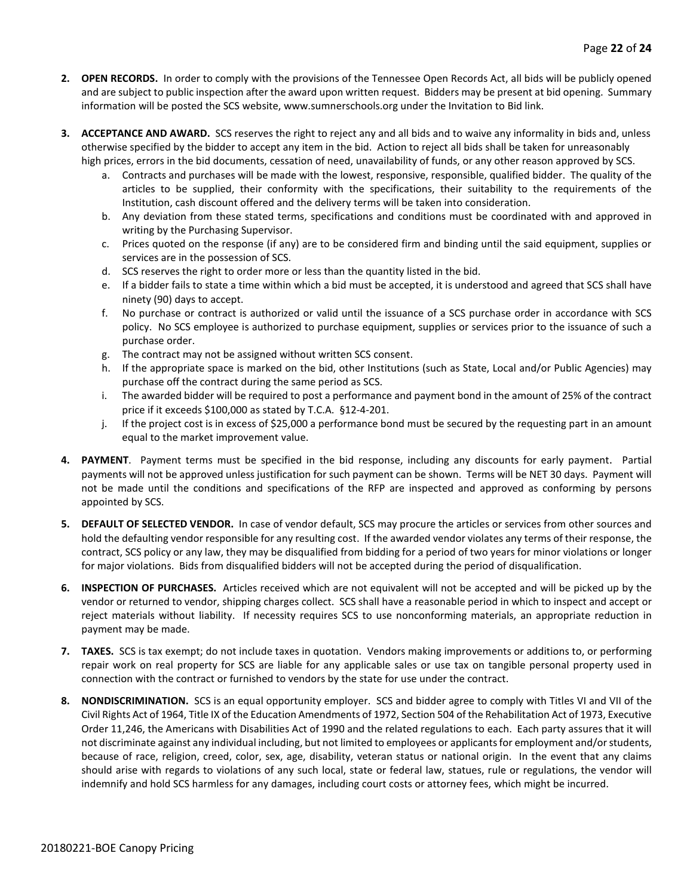- **2. OPEN RECORDS.** In order to comply with the provisions of the Tennessee Open Records Act, all bids will be publicly opened and are subject to public inspection after the award upon written request. Bidders may be present at bid opening. Summary information will be posted the SCS website, www.sumnerschools.org under the Invitation to Bid link.
- **3. ACCEPTANCE AND AWARD.** SCS reserves the right to reject any and all bids and to waive any informality in bids and, unless otherwise specified by the bidder to accept any item in the bid. Action to reject all bids shall be taken for unreasonably high prices, errors in the bid documents, cessation of need, unavailability of funds, or any other reason approved by SCS.
	- a. Contracts and purchases will be made with the lowest, responsive, responsible, qualified bidder. The quality of the articles to be supplied, their conformity with the specifications, their suitability to the requirements of the Institution, cash discount offered and the delivery terms will be taken into consideration.
	- b. Any deviation from these stated terms, specifications and conditions must be coordinated with and approved in writing by the Purchasing Supervisor.
	- c. Prices quoted on the response (if any) are to be considered firm and binding until the said equipment, supplies or services are in the possession of SCS.
	- d. SCS reserves the right to order more or less than the quantity listed in the bid.
	- e. If a bidder fails to state a time within which a bid must be accepted, it is understood and agreed that SCS shall have ninety (90) days to accept.
	- f. No purchase or contract is authorized or valid until the issuance of a SCS purchase order in accordance with SCS policy. No SCS employee is authorized to purchase equipment, supplies or services prior to the issuance of such a purchase order.
	- g. The contract may not be assigned without written SCS consent.
	- h. If the appropriate space is marked on the bid, other Institutions (such as State, Local and/or Public Agencies) may purchase off the contract during the same period as SCS.
	- i. The awarded bidder will be required to post a performance and payment bond in the amount of 25% of the contract price if it exceeds \$100,000 as stated by T.C.A. §12-4-201.
	- j. If the project cost is in excess of \$25,000 a performance bond must be secured by the requesting part in an amount equal to the market improvement value.
- **4. PAYMENT**. Payment terms must be specified in the bid response, including any discounts for early payment. Partial payments will not be approved unless justification for such payment can be shown. Terms will be NET 30 days. Payment will not be made until the conditions and specifications of the RFP are inspected and approved as conforming by persons appointed by SCS.
- **5. DEFAULT OF SELECTED VENDOR.** In case of vendor default, SCS may procure the articles or services from other sources and hold the defaulting vendor responsible for any resulting cost. If the awarded vendor violates any terms of their response, the contract, SCS policy or any law, they may be disqualified from bidding for a period of two years for minor violations or longer for major violations. Bids from disqualified bidders will not be accepted during the period of disqualification.
- **6. INSPECTION OF PURCHASES.** Articles received which are not equivalent will not be accepted and will be picked up by the vendor or returned to vendor, shipping charges collect. SCS shall have a reasonable period in which to inspect and accept or reject materials without liability. If necessity requires SCS to use nonconforming materials, an appropriate reduction in payment may be made.
- **7. TAXES.** SCS is tax exempt; do not include taxes in quotation. Vendors making improvements or additions to, or performing repair work on real property for SCS are liable for any applicable sales or use tax on tangible personal property used in connection with the contract or furnished to vendors by the state for use under the contract.
- **8. NONDISCRIMINATION.** SCS is an equal opportunity employer. SCS and bidder agree to comply with Titles VI and VII of the Civil Rights Act of 1964, Title IX of the Education Amendments of 1972, Section 504 of the Rehabilitation Act of 1973, Executive Order 11,246, the Americans with Disabilities Act of 1990 and the related regulations to each. Each party assures that it will not discriminate against any individual including, but not limited to employees or applicants for employment and/or students, because of race, religion, creed, color, sex, age, disability, veteran status or national origin. In the event that any claims should arise with regards to violations of any such local, state or federal law, statues, rule or regulations, the vendor will indemnify and hold SCS harmless for any damages, including court costs or attorney fees, which might be incurred.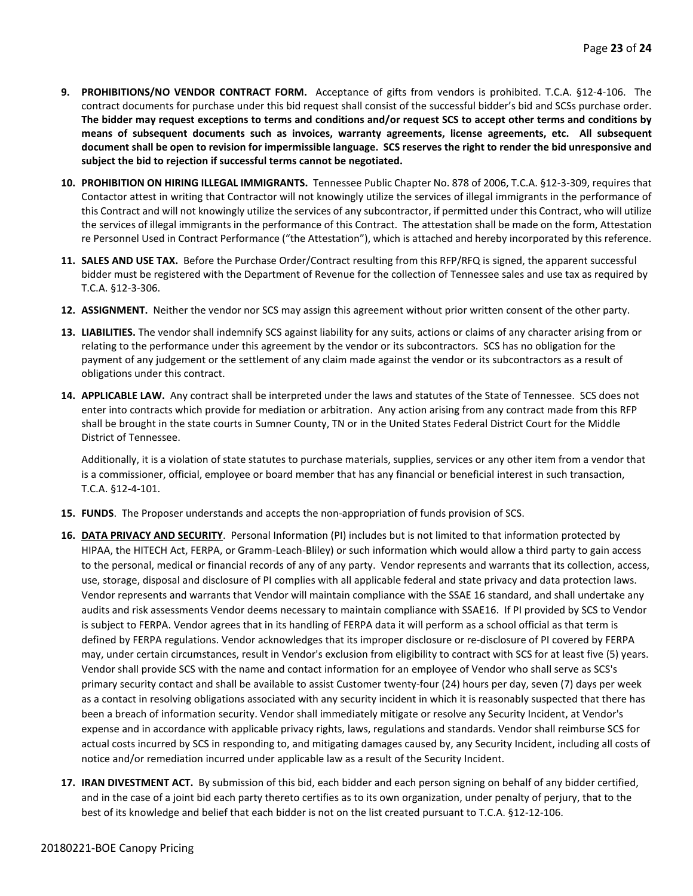- **9. PROHIBITIONS/NO VENDOR CONTRACT FORM.** Acceptance of gifts from vendors is prohibited. T.C.A. §12-4-106. The contract documents for purchase under this bid request shall consist of the successful bidder's bid and SCSs purchase order. **The bidder may request exceptions to terms and conditions and/or request SCS to accept other terms and conditions by means of subsequent documents such as invoices, warranty agreements, license agreements, etc. All subsequent document shall be open to revision for impermissible language. SCS reserves the right to render the bid unresponsive and subject the bid to rejection if successful terms cannot be negotiated.**
- **10. PROHIBITION ON HIRING ILLEGAL IMMIGRANTS.** Tennessee Public Chapter No. 878 of 2006, T.C.A. §12-3-309, requires that Contactor attest in writing that Contractor will not knowingly utilize the services of illegal immigrants in the performance of this Contract and will not knowingly utilize the services of any subcontractor, if permitted under this Contract, who will utilize the services of illegal immigrants in the performance of this Contract. The attestation shall be made on the form, Attestation re Personnel Used in Contract Performance ("the Attestation"), which is attached and hereby incorporated by this reference.
- **11. SALES AND USE TAX.** Before the Purchase Order/Contract resulting from this RFP/RFQ is signed, the apparent successful bidder must be registered with the Department of Revenue for the collection of Tennessee sales and use tax as required by T.C.A. §12-3-306.
- **12. ASSIGNMENT.** Neither the vendor nor SCS may assign this agreement without prior written consent of the other party.
- **13. LIABILITIES.** The vendor shall indemnify SCS against liability for any suits, actions or claims of any character arising from or relating to the performance under this agreement by the vendor or its subcontractors. SCS has no obligation for the payment of any judgement or the settlement of any claim made against the vendor or its subcontractors as a result of obligations under this contract.
- **14. APPLICABLE LAW.** Any contract shall be interpreted under the laws and statutes of the State of Tennessee. SCS does not enter into contracts which provide for mediation or arbitration. Any action arising from any contract made from this RFP shall be brought in the state courts in Sumner County, TN or in the United States Federal District Court for the Middle District of Tennessee.

Additionally, it is a violation of state statutes to purchase materials, supplies, services or any other item from a vendor that is a commissioner, official, employee or board member that has any financial or beneficial interest in such transaction, T.C.A. §12-4-101.

- **15. FUNDS**. The Proposer understands and accepts the non-appropriation of funds provision of SCS.
- **16. DATA PRIVACY AND SECURITY**. Personal Information (PI) includes but is not limited to that information protected by HIPAA, the HITECH Act, FERPA, or Gramm-Leach-Bliley) or such information which would allow a third party to gain access to the personal, medical or financial records of any of any party. Vendor represents and warrants that its collection, access, use, storage, disposal and disclosure of PI complies with all applicable federal and state privacy and data protection laws. Vendor represents and warrants that Vendor will maintain compliance with the SSAE 16 standard, and shall undertake any audits and risk assessments Vendor deems necessary to maintain compliance with SSAE16. If PI provided by SCS to Vendor is subject to FERPA. Vendor agrees that in its handling of FERPA data it will perform as a school official as that term is defined by FERPA regulations. Vendor acknowledges that its improper disclosure or re-disclosure of PI covered by FERPA may, under certain circumstances, result in Vendor's exclusion from eligibility to contract with SCS for at least five (5) years. Vendor shall provide SCS with the name and contact information for an employee of Vendor who shall serve as SCS's primary security contact and shall be available to assist Customer twenty-four (24) hours per day, seven (7) days per week as a contact in resolving obligations associated with any security incident in which it is reasonably suspected that there has been a breach of information security. Vendor shall immediately mitigate or resolve any Security Incident, at Vendor's expense and in accordance with applicable privacy rights, laws, regulations and standards. Vendor shall reimburse SCS for actual costs incurred by SCS in responding to, and mitigating damages caused by, any Security Incident, including all costs of notice and/or remediation incurred under applicable law as a result of the Security Incident.
- **17. IRAN DIVESTMENT ACT.** By submission of this bid, each bidder and each person signing on behalf of any bidder certified, and in the case of a joint bid each party thereto certifies as to its own organization, under penalty of perjury, that to the best of its knowledge and belief that each bidder is not on the list created pursuant to T.C.A. §12-12-106.